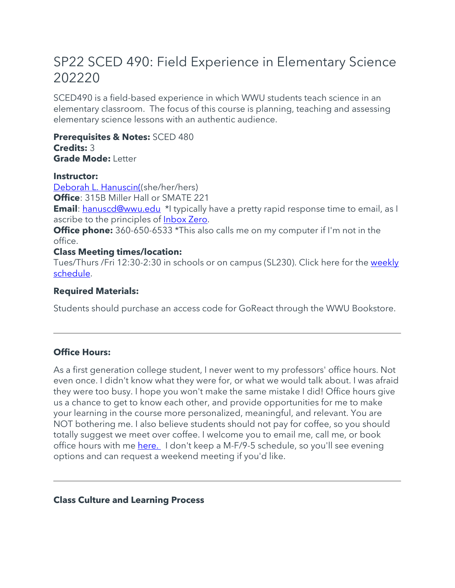# SP22 SCED 490: Field Experience in Elementary Science 202220

SCED490 is a field-based experience in which WWU students teach science in an elementary classroom. The focus of this course is planning, teaching and assessing elementary science lessons with an authentic audience.

**Prerequisites & Notes:** SCED 480 **Credits:** 3 **Grade Mode:** Letter

#### **Instructor:**

[Deborah L. Hanuscin\(\(](https://sites.google.com/view/debihanuscin)she/her/hers) **Office**: 315B Miller Hall or SMATE 221 **Email**: [hanuscd@wwu.edu](mailto:hanuscd@wwu.edu) \*I typically have a pretty rapid response time to email, as I ascribe to the principles of [Inbox Zero.](https://www.howtogeek.com/413507/what-is-inbox-zero-and-how-can-you-achieve-it/)

**Office phone:** 360-650-6533 \*This also calls me on my computer if I'm not in the office.

## **Class Meeting times/location:**

Tues/Thurs /Fri 12:30-2:30 in schools or on campus (SL230). Click here for the [weekly](https://wwu.instructure.com/courses/1506774/pages/weekly-schedule)  [schedule.](https://wwu.instructure.com/courses/1506774/pages/weekly-schedule)

## **Required Materials:**

Students should purchase an access code for GoReact through the WWU Bookstore.

# **Office Hours:**

As a first generation college student, I never went to my professors' office hours. Not even once. I didn't know what they were for, or what we would talk about. I was afraid they were too busy. I hope you won't make the same mistake I did! Office hours give us a chance to get to know each other, and provide opportunities for me to make your learning in the course more personalized, meaningful, and relevant. You are NOT bothering me. I also believe students should not pay for coffee, so you should totally suggest we meet over coffee. I welcome you to email me, call me, or book office hours with me [here.](https://outlook.office365.com/owa/calendar/ProfessorDeborahHanuscin@wwu2.onmicrosoft.com/bookings/) I don't keep a M-F/9-5 schedule, so you'll see evening options and can request a weekend meeting if you'd like.

#### **Class Culture and Learning Process**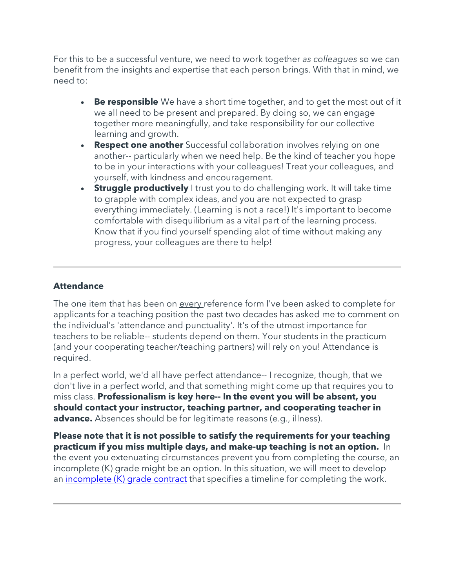For this to be a successful venture, we need to work together *as colleagues* so we can benefit from the insights and expertise that each person brings. With that in mind, we need to:

- **Be responsible** We have a short time together, and to get the most out of it we all need to be present and prepared. By doing so, we can engage together more meaningfully, and take responsibility for our collective learning and growth.
- **Respect one another** Successful collaboration involves relying on one another-- particularly when we need help. Be the kind of teacher you hope to be in your interactions with your colleagues! Treat your colleagues, and yourself, with kindness and encouragement.
- **Struggle productively** I trust you to do challenging work. It will take time to grapple with complex ideas, and you are not expected to grasp everything immediately. (Learning is not a race!) It's important to become comfortable with disequilibrium as a vital part of the learning process. Know that if you find yourself spending alot of time without making any progress, your colleagues are there to help!

## **Attendance**

The one item that has been on every reference form I've been asked to complete for applicants for a teaching position the past two decades has asked me to comment on the individual's 'attendance and punctuality'. It's of the utmost importance for teachers to be reliable-- students depend on them. Your students in the practicum (and your cooperating teacher/teaching partners) will rely on you! Attendance is required.

In a perfect world, we'd all have perfect attendance-- I recognize, though, that we don't live in a perfect world, and that something might come up that requires you to miss class. **Professionalism is key here-- In the event you will be absent, you should contact your instructor, teaching partner, and cooperating teacher in advance.** Absences should be for legitimate reasons (e.g., illness).

**Please note that it is not possible to satisfy the requirements for your teaching practicum if you miss multiple days, and make-up teaching is not an option.** In the event you extenuating circumstances prevent you from completing the course, an incomplete (K) grade might be an option. In this situation, we will meet to develop an [incomplete \(K\) grade contract](https://www.wwu.edu/registrar/pdfs/incomplete_grade_contract.pdf) that specifies a timeline for completing the work.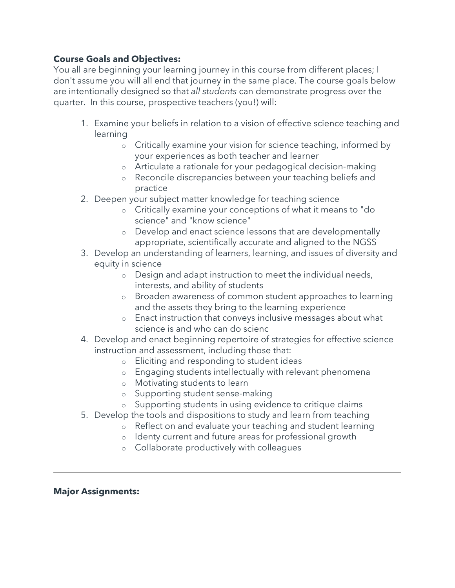#### **Course Goals and Objectives:**

You all are beginning your learning journey in this course from different places; I don't assume you will all end that journey in the same place. The course goals below are intentionally designed so that *all students* can demonstrate progress over the quarter. In this course, prospective teachers (you!) will:

- 1. Examine your beliefs in relation to a vision of effective science teaching and learning
	- o Critically examine your vision for science teaching, informed by your experiences as both teacher and learner
	- o Articulate a rationale for your pedagogical decision-making
	- o Reconcile discrepancies between your teaching beliefs and practice
- 2. Deepen your subject matter knowledge for teaching science
	- o Critically examine your conceptions of what it means to "do science" and "know science"
	- o Develop and enact science lessons that are developmentally appropriate, scientifically accurate and aligned to the NGSS
- 3. Develop an understanding of learners, learning, and issues of diversity and equity in science
	- o Design and adapt instruction to meet the individual needs, interests, and ability of students
	- o Broaden awareness of common student approaches to learning and the assets they bring to the learning experience
	- o Enact instruction that conveys inclusive messages about what science is and who can do scienc
- 4. Develop and enact beginning repertoire of strategies for effective science instruction and assessment, including those that:
	- o Eliciting and responding to student ideas
	- o Engaging students intellectually with relevant phenomena
	- o Motivating students to learn
	- o Supporting student sense-making
	- o Supporting students in using evidence to critique claims
- 5. Develop the tools and dispositions to study and learn from teaching
	- o Reflect on and evaluate your teaching and student learning
		- o Identy current and future areas for professional growth
		- o Collaborate productively with colleagues

#### **Major Assignments:**